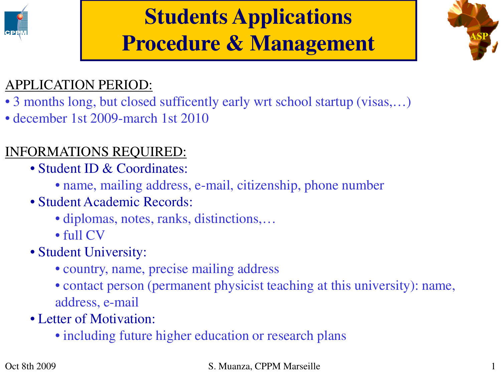

# **Students Applications Procedure & Management**



## APPLICATION PERIOD:

- 3 months long, but closed sufficently early wrt school startup (visas,...)
- december 1st 2009-march 1st 2010

# INFORMATIONS REQUIRED:

- Student ID & Coordinates:
	- name, mailing address, e-mail, citizenship, phone number
- Student Academic Records:
	- diplomas, notes, ranks, distinctions,...
	- full CV
- Student University:
	- country, name, precise mailing address
	- contact person (permanent physicist teaching at this university): name, address, e-mail
- Letter of Motivation:
	- including future higher education or research plans